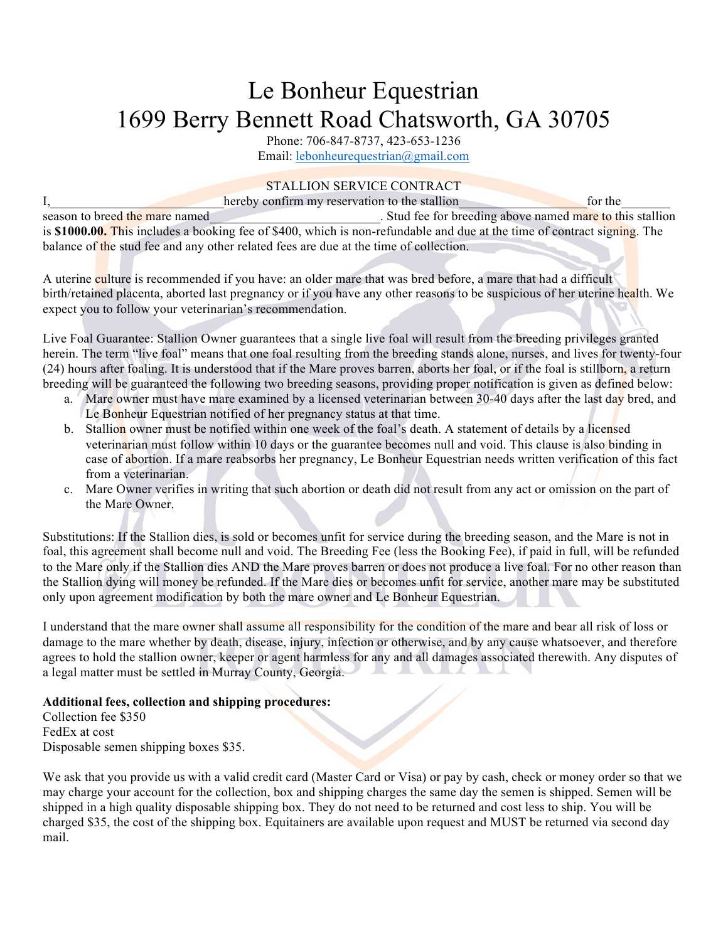## Le Bonheur Equestrian 1699 Berry Bennett Road Chatsworth, GA 30705

Phone: 706-847-8737, 423-653-1236 Email: lebonheurequestrian@gmail.com

## STALLION SERVICE CONTRACT

I, hereby confirm my reservation to the stallion for the state of the state of the state of the state of the state of the state of the state of the state of the state of the state of the state of the state of the state of season to breed the mare named<br>Stud fee for breeding above named mare to this stallion is **\$1000.00.** This includes a booking fee of \$400, which is non-refundable and due at the time of contract signing. The balance of the stud fee and any other related fees are due at the time of collection.

A uterine culture is recommended if you have: an older mare that was bred before, a mare that had a difficult birth/retained placenta, aborted last pregnancy or if you have any other reasons to be suspicious of her uterine health. We expect you to follow your veterinarian's recommendation.

Live Foal Guarantee: Stallion Owner guarantees that a single live foal will result from the breeding privileges granted herein. The term "live foal" means that one foal resulting from the breeding stands alone, nurses, and lives for twenty-four (24) hours after foaling. It is understood that if the Mare proves barren, aborts her foal, or if the foal is stillborn, a return breeding will be guaranteed the following two breeding seasons, providing proper notification is given as defined below:

- a. Mare owner must have mare examined by a licensed veterinarian between 30-40 days after the last day bred, and Le Bonheur Equestrian notified of her pregnancy status at that time.
- b. Stallion owner must be notified within one week of the foal's death. A statement of details by a licensed veterinarian must follow within 10 days or the guarantee becomes null and void. This clause is also binding in case of abortion. If a mare reabsorbs her pregnancy, Le Bonheur Equestrian needs written verification of this fact from a veterinarian.
- c. Mare Owner verifies in writing that such abortion or death did not result from any act or omission on the part of the Mare Owner.

Substitutions: If the Stallion dies, is sold or becomes unfit for service during the breeding season, and the Mare is not in foal, this agreement shall become null and void. The Breeding Fee (less the Booking Fee), if paid in full, will be refunded to the Mare only if the Stallion dies AND the Mare proves barren or does not produce a live foal. For no other reason than the Stallion dying will money be refunded. If the Mare dies or becomes unfit for service, another mare may be substituted only upon agreement modification by both the mare owner and Le Bonheur Equestrian.

I understand that the mare owner shall assume all responsibility for the condition of the mare and bear all risk of loss or damage to the mare whether by death, disease, injury, infection or otherwise, and by any cause whatsoever, and therefore agrees to hold the stallion owner, keeper or agent harmless for any and all damages associated therewith. Any disputes of a legal matter must be settled in Murray County, Georgia.

## **Additional fees, collection and shipping procedures:**

Collection fee \$350 FedEx at cost Disposable semen shipping boxes \$35.

We ask that you provide us with a valid credit card (Master Card or Visa) or pay by cash, check or money order so that we may charge your account for the collection, box and shipping charges the same day the semen is shipped. Semen will be shipped in a high quality disposable shipping box. They do not need to be returned and cost less to ship. You will be charged \$35, the cost of the shipping box. Equitainers are available upon request and MUST be returned via second day mail.